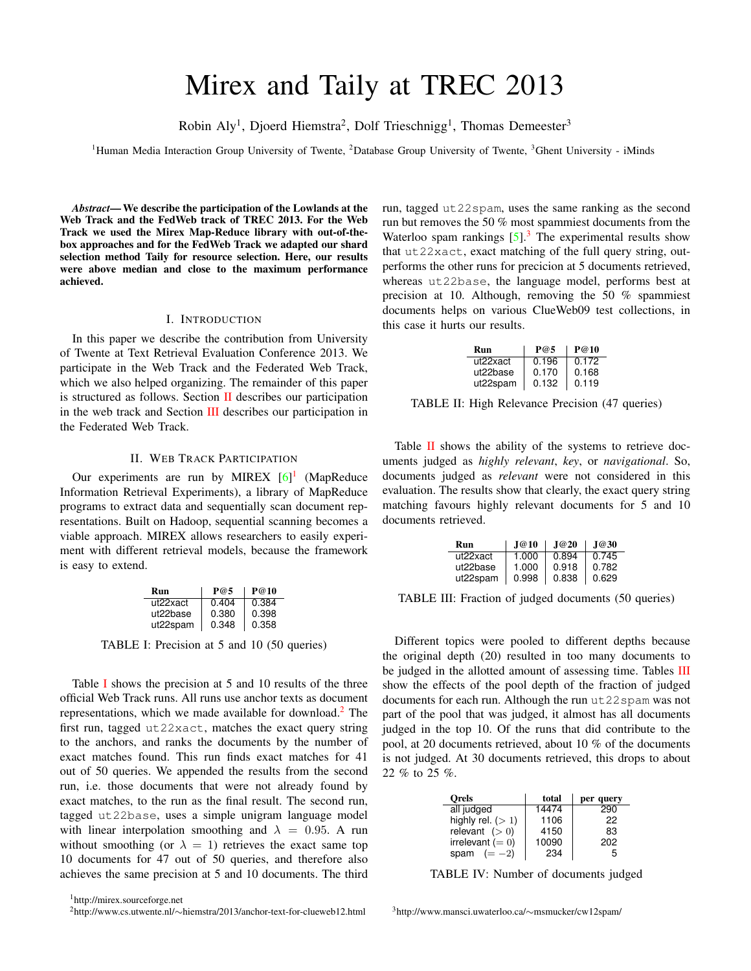# Mirex and Taily at TREC 2013

Robin Aly<sup>1</sup>, Djoerd Hiemstra<sup>2</sup>, Dolf Trieschnigg<sup>1</sup>, Thomas Demeester<sup>3</sup>

<sup>1</sup>Human Media Interaction Group University of Twente, <sup>2</sup>Database Group University of Twente, <sup>3</sup>Ghent University - iMinds

*Abstract*— We describe the participation of the Lowlands at the Web Track and the FedWeb track of TREC 2013. For the Web Track we used the Mirex Map-Reduce library with out-of-thebox approaches and for the FedWeb Track we adapted our shard selection method Taily for resource selection. Here, our results were above median and close to the maximum performance achieved.

#### I. INTRODUCTION

In this paper we describe the contribution from University of Twente at Text Retrieval Evaluation Conference 2013. We participate in the Web Track and the Federated Web Track, which we also helped organizing. The remainder of this paper is structured as follows. Section [II](#page-0-0) describes our participation in the web track and Section [III](#page-1-0) describes our participation in the Federated Web Track.

## II. WEB TRACK PARTICIPATION

<span id="page-0-0"></span>Our experiments are run by MIREX  $[6]$ <sup>[1](#page-0-1)</sup> (MapReduce Information Retrieval Experiments), a library of MapReduce programs to extract data and sequentially scan document representations. Built on Hadoop, sequential scanning becomes a viable approach. MIREX allows researchers to easily experiment with different retrieval models, because the framework is easy to extend.

| Run      | P@5   | P@10  |
|----------|-------|-------|
| ut22xact | 0.404 | 0.384 |
| ut22base | 0.380 | 0.398 |
| ut22spam | 0.348 | 0.358 |

<span id="page-0-2"></span>TABLE I: Precision at 5 and 10 (50 queries)

Table [I](#page-0-2) shows the precision at 5 and 10 results of the three official Web Track runs. All runs use anchor texts as document representations, which we made available for download.<sup>[2](#page-0-3)</sup> The first run, tagged ut22xact, matches the exact query string to the anchors, and ranks the documents by the number of exact matches found. This run finds exact matches for 41 out of 50 queries. We appended the results from the second run, i.e. those documents that were not already found by exact matches, to the run as the final result. The second run, tagged ut22base, uses a simple unigram language model with linear interpolation smoothing and  $\lambda = 0.95$ . A run without smoothing (or  $\lambda = 1$ ) retrieves the exact same top 10 documents for 47 out of 50 queries, and therefore also achieves the same precision at 5 and 10 documents. The third

run, tagged ut22spam, uses the same ranking as the second run but removes the 50 % most spammiest documents from the Waterloo spam rankings  $[5]$ .<sup>[3](#page-0-4)</sup> The experimental results show that ut22xact, exact matching of the full query string, outperforms the other runs for precicion at 5 documents retrieved, whereas ut22base, the language model, performs best at precision at 10. Although, removing the 50 % spammiest documents helps on various ClueWeb09 test collections, in this case it hurts our results.

| Run      | P@5   | P@10  |
|----------|-------|-------|
| ut22xact | 0.196 | 0.172 |
| ut22base | 0.170 | 0.168 |
| ut22spam | 0.132 | 0.119 |

<span id="page-0-5"></span>TABLE II: High Relevance Precision (47 queries)

Table [II](#page-0-5) shows the ability of the systems to retrieve documents judged as *highly relevant*, *key*, or *navigational*. So, documents judged as *relevant* were not considered in this evaluation. The results show that clearly, the exact query string matching favours highly relevant documents for 5 and 10 documents retrieved.

| Run      | J@10  | J@20  | J@30  |
|----------|-------|-------|-------|
| ut22xact | 1.000 | 0.894 | 0.745 |
| ut22base | 1.000 | 0.918 | 0.782 |
| ut22spam | 0.998 | 0.838 | 0.629 |

<span id="page-0-6"></span>TABLE III: Fraction of judged documents (50 queries)

Different topics were pooled to different depths because the original depth (20) resulted in too many documents to be judged in the allotted amount of assessing time. Tables **[III](#page-0-6)** show the effects of the pool depth of the fraction of judged documents for each run. Although the run ut 22spam was not part of the pool that was judged, it almost has all documents judged in the top 10. Of the runs that did contribute to the pool, at 20 documents retrieved, about 10 % of the documents is not judged. At 30 documents retrieved, this drops to about 22 % to 25 %.

<span id="page-0-7"></span>

| Orels              | total | per query |
|--------------------|-------|-----------|
| all judged         | 14474 | 290       |
| highly rel. $(>1)$ | 1106  | 22        |
| relevant $(>0)$    | 4150  | 83        |
| irrelevant $(= 0)$ | 10090 | 202       |
| spam $(=-2)$       | 234   | 5         |

<span id="page-0-4"></span>TABLE IV: Number of documents judged

<span id="page-0-1"></span><sup>1</sup>http://mirex.sourceforge.net

<span id="page-0-3"></span><sup>2</sup>http://www.cs.utwente.nl/∼hiemstra/2013/anchor-text-for-clueweb12.html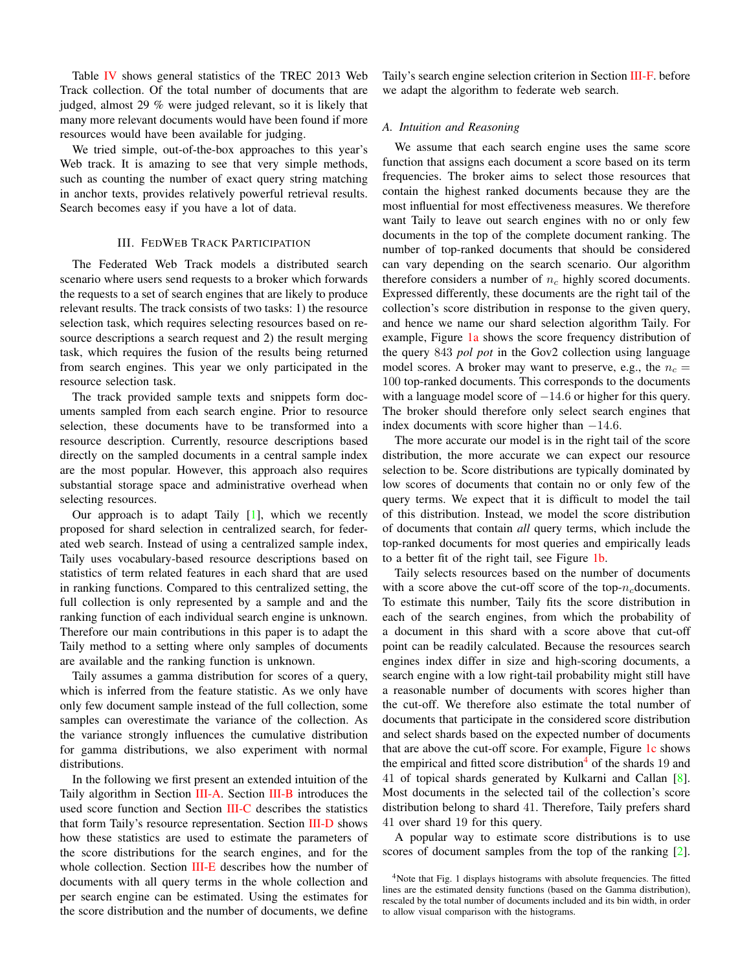Table [IV](#page-0-7) shows general statistics of the TREC 2013 Web Track collection. Of the total number of documents that are judged, almost 29 % were judged relevant, so it is likely that many more relevant documents would have been found if more resources would have been available for judging.

We tried simple, out-of-the-box approaches to this year's Web track. It is amazing to see that very simple methods, such as counting the number of exact query string matching in anchor texts, provides relatively powerful retrieval results. Search becomes easy if you have a lot of data.

## III. FEDWEB TRACK PARTICIPATION

<span id="page-1-0"></span>The Federated Web Track models a distributed search scenario where users send requests to a broker which forwards the requests to a set of search engines that are likely to produce relevant results. The track consists of two tasks: 1) the resource selection task, which requires selecting resources based on resource descriptions a search request and 2) the result merging task, which requires the fusion of the results being returned from search engines. This year we only participated in the resource selection task.

The track provided sample texts and snippets form documents sampled from each search engine. Prior to resource selection, these documents have to be transformed into a resource description. Currently, resource descriptions based directly on the sampled documents in a central sample index are the most popular. However, this approach also requires substantial storage space and administrative overhead when selecting resources.

Our approach is to adapt Taily [\[1\]](#page-5-2), which we recently proposed for shard selection in centralized search, for federated web search. Instead of using a centralized sample index, Taily uses vocabulary-based resource descriptions based on statistics of term related features in each shard that are used in ranking functions. Compared to this centralized setting, the full collection is only represented by a sample and and the ranking function of each individual search engine is unknown. Therefore our main contributions in this paper is to adapt the Taily method to a setting where only samples of documents are available and the ranking function is unknown.

Taily assumes a gamma distribution for scores of a query, which is inferred from the feature statistic. As we only have only few document sample instead of the full collection, some samples can overestimate the variance of the collection. As the variance strongly influences the cumulative distribution for gamma distributions, we also experiment with normal distributions.

In the following we first present an extended intuition of the Taily algorithm in Section [III-A.](#page-1-1) Section [III-B](#page-2-0) introduces the used score function and Section [III-C](#page-2-1) describes the statistics that form Taily's resource representation. Section [III-D](#page-3-0) shows how these statistics are used to estimate the parameters of the score distributions for the search engines, and for the whole collection. Section [III-E](#page-3-1) describes how the number of documents with all query terms in the whole collection and per search engine can be estimated. Using the estimates for the score distribution and the number of documents, we define

Taily's search engine selection criterion in Section [III-F.](#page-3-2) before we adapt the algorithm to federate web search.

## <span id="page-1-1"></span>*A. Intuition and Reasoning*

We assume that each search engine uses the same score function that assigns each document a score based on its term frequencies. The broker aims to select those resources that contain the highest ranked documents because they are the most influential for most effectiveness measures. We therefore want Taily to leave out search engines with no or only few documents in the top of the complete document ranking. The number of top-ranked documents that should be considered can vary depending on the search scenario. Our algorithm therefore considers a number of  $n_c$  highly scored documents. Expressed differently, these documents are the right tail of the collection's score distribution in response to the given query, and hence we name our shard selection algorithm Taily. For example, Figure [1a](#page-2-2) shows the score frequency distribution of the query 843 *pol pot* in the Gov2 collection using language model scores. A broker may want to preserve, e.g., the  $n_c =$ 100 top-ranked documents. This corresponds to the documents with a language model score of  $-14.6$  or higher for this query. The broker should therefore only select search engines that index documents with score higher than −14.6.

The more accurate our model is in the right tail of the score distribution, the more accurate we can expect our resource selection to be. Score distributions are typically dominated by low scores of documents that contain no or only few of the query terms. We expect that it is difficult to model the tail of this distribution. Instead, we model the score distribution of documents that contain *all* query terms, which include the top-ranked documents for most queries and empirically leads to a better fit of the right tail, see Figure [1b.](#page-2-2)

Taily selects resources based on the number of documents with a score above the cut-off score of the top- $n_c$ documents. To estimate this number, Taily fits the score distribution in each of the search engines, from which the probability of a document in this shard with a score above that cut-off point can be readily calculated. Because the resources search engines index differ in size and high-scoring documents, a search engine with a low right-tail probability might still have a reasonable number of documents with scores higher than the cut-off. We therefore also estimate the total number of documents that participate in the considered score distribution and select shards based on the expected number of documents that are above the cut-off score. For example, Figure [1c](#page-2-2) shows the empirical and fitted score distribution<sup>[4](#page-1-2)</sup> of the shards 19 and 41 of topical shards generated by Kulkarni and Callan [\[8\]](#page-5-3). Most documents in the selected tail of the collection's score distribution belong to shard 41. Therefore, Taily prefers shard 41 over shard 19 for this query.

A popular way to estimate score distributions is to use scores of document samples from the top of the ranking [\[2\]](#page-5-4).

<span id="page-1-2"></span><sup>&</sup>lt;sup>4</sup>Note that Fig. 1 displays histograms with absolute frequencies. The fitted lines are the estimated density functions (based on the Gamma distribution), rescaled by the total number of documents included and its bin width, in order to allow visual comparison with the histograms.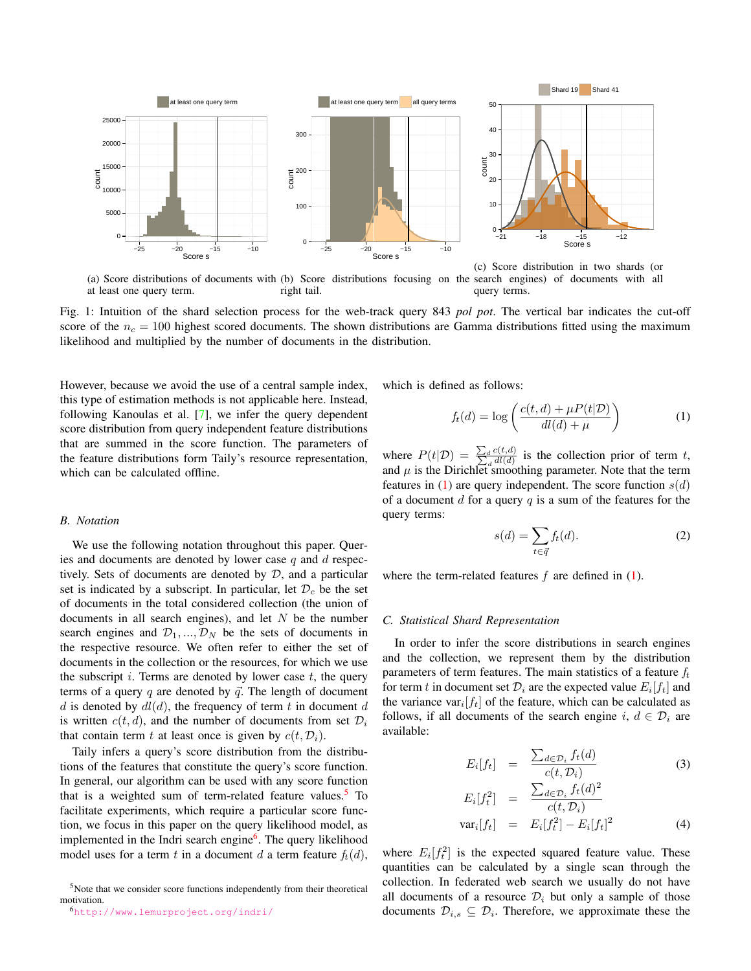<span id="page-2-2"></span>

(a) Score distributions of documents with (b) Score distributions focusing on the search engines) of documents with all at least one query term. right tail. query terms.

Fig. 1: Intuition of the shard selection process for the web-track query 843 *pol pot*. The vertical bar indicates the cut-off score of the  $n_c = 100$  highest scored documents. The shown distributions are Gamma distributions fitted using the maximum likelihood and multiplied by the number of documents in the distribution.

However, because we avoid the use of a central sample index, this type of estimation methods is not applicable here. Instead, following Kanoulas et al. [\[7\]](#page-5-5), we infer the query dependent score distribution from query independent feature distributions that are summed in the score function. The parameters of the feature distributions form Taily's resource representation, which can be calculated offline.

### <span id="page-2-0"></span>*B. Notation*

We use the following notation throughout this paper. Queries and documents are denoted by lower case  $q$  and  $d$  respectively. Sets of documents are denoted by  $D$ , and a particular set is indicated by a subscript. In particular, let  $\mathcal{D}_c$  be the set of documents in the total considered collection (the union of documents in all search engines), and let  $N$  be the number search engines and  $\mathcal{D}_1, ..., \mathcal{D}_N$  be the sets of documents in the respective resource. We often refer to either the set of documents in the collection or the resources, for which we use the subscript  $i$ . Terms are denoted by lower case  $t$ , the query terms of a query q are denoted by  $\vec{q}$ . The length of document d is denoted by  $dl(d)$ , the frequency of term t in document d is written  $c(t, d)$ , and the number of documents from set  $\mathcal{D}_i$ that contain term t at least once is given by  $c(t, \mathcal{D}_i)$ .

Taily infers a query's score distribution from the distributions of the features that constitute the query's score function. In general, our algorithm can be used with any score function that is a weighted sum of term-related feature values.<sup>[5](#page-2-3)</sup> To facilitate experiments, which require a particular score function, we focus in this paper on the query likelihood model, as implemented in the Indri search engine<sup>[6](#page-2-4)</sup>. The query likelihood model uses for a term t in a document d a term feature  $f_t(d)$ , which is defined as follows:

<span id="page-2-5"></span>
$$
f_t(d) = \log\left(\frac{c(t, d) + \mu P(t|\mathcal{D})}{d l(d) + \mu}\right) \tag{1}
$$

where  $P(t|\mathcal{D}) = \frac{\sum_d c(t,d)}{\sum_d d(l,d)}$  is the collection prior of term t, and  $\mu$  is the Dirichlet smoothing parameter. Note that the term features in [\(1\)](#page-2-5) are query independent. The score function  $s(d)$ of a document  $d$  for a query  $q$  is a sum of the features for the query terms:

<span id="page-2-7"></span>
$$
s(d) = \sum_{t \in \vec{q}} f_t(d). \tag{2}
$$

where the term-related features  $f$  are defined in  $(1)$ .

#### <span id="page-2-1"></span>*C. Statistical Shard Representation*

In order to infer the score distributions in search engines and the collection, we represent them by the distribution parameters of term features. The main statistics of a feature  $f_t$ for term t in document set  $\mathcal{D}_i$  are the expected value  $E_i[f_t]$  and the variance var<sub>i</sub> $[f_t]$  of the feature, which can be calculated as follows, if all documents of the search engine i,  $d \in \mathcal{D}_i$  are available:

<span id="page-2-6"></span>
$$
E_i[f_t] = \frac{\sum_{d \in \mathcal{D}_i} f_t(d)}{c(t, \mathcal{D}_i)}
$$
(3)

$$
E_i[f_t^2] = \frac{\sum_{d \in \mathcal{D}_i} f_t(d)^2}{c(t, \mathcal{D}_i)}
$$
  

$$
var_i[f_t] = E_i[f_t^2] - E_i[f_t]^2
$$
 (4)

where  $E_i[f_t^2]$  is the expected squared feature value. These quantities can be calculated by a single scan through the collection. In federated web search we usually do not have all documents of a resource  $\mathcal{D}_i$  but only a sample of those documents  $\mathcal{D}_{i,s} \subseteq \mathcal{D}_i$ . Therefore, we approximate these the

<span id="page-2-3"></span><sup>5</sup>Note that we consider score functions independently from their theoretical motivation.

<span id="page-2-4"></span><sup>6</sup><http://www.lemurproject.org/indri/>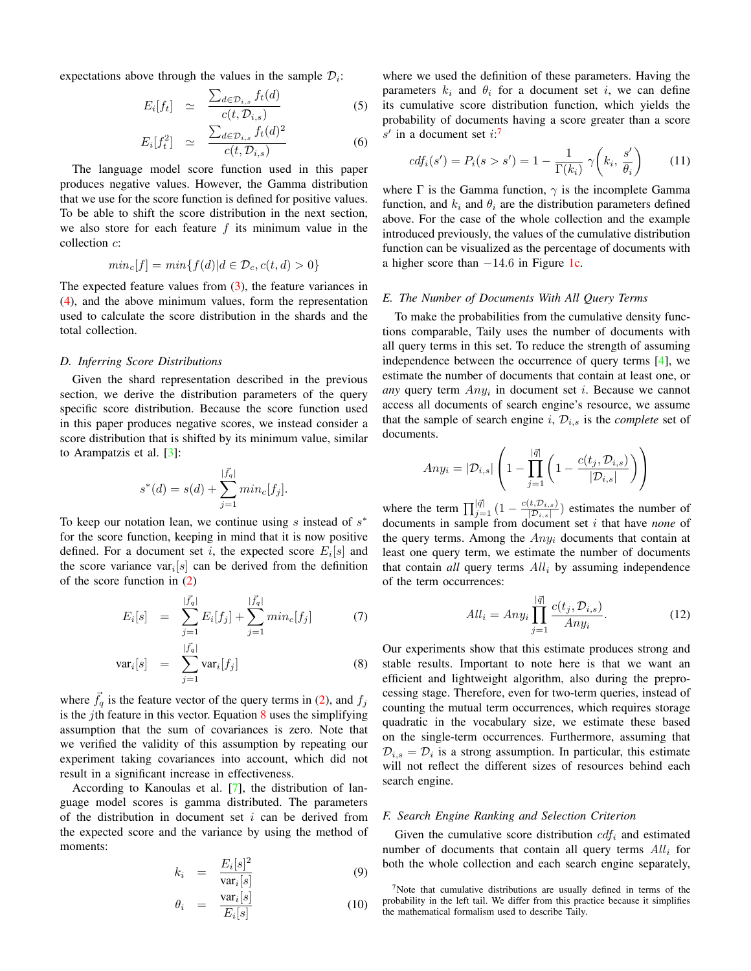expectations above through the values in the sample  $\mathcal{D}_i$ :

$$
E_i[f_t] \simeq \frac{\sum_{d \in \mathcal{D}_{i,s}} f_t(d)}{c(t, \mathcal{D}_{i,s})} \tag{5}
$$

$$
E_i[f_t^2] \simeq \frac{\sum_{d \in \mathcal{D}_{i,s}} f_t(d)^2}{c(t, \mathcal{D}_{i,s})} \tag{6}
$$

The language model score function used in this paper produces negative values. However, the Gamma distribution that we use for the score function is defined for positive values. To be able to shift the score distribution in the next section, we also store for each feature  $f$  its minimum value in the collection c:

$$
min_c[f] = min\{f(d)|d \in \mathcal{D}_c, c(t, d) > 0\}
$$

The expected feature values from  $(3)$ , the feature variances in [\(4\)](#page-2-6), and the above minimum values, form the representation used to calculate the score distribution in the shards and the total collection.

#### <span id="page-3-0"></span>*D. Inferring Score Distributions*

Given the shard representation described in the previous section, we derive the distribution parameters of the query specific score distribution. Because the score function used in this paper produces negative scores, we instead consider a score distribution that is shifted by its minimum value, similar to Arampatzis et al. [\[3\]](#page-5-6):

$$
s^*(d) = s(d) + \sum_{j=1}^{|\vec{f}_q|} \min_c[f_j].
$$

To keep our notation lean, we continue using  $s$  instead of  $s^*$ for the score function, keeping in mind that it is now positive defined. For a document set i, the expected score  $E_i[s]$  and the score variance var<sub>i</sub>[s] can be derived from the definition of the score function in [\(2\)](#page-2-7)

<span id="page-3-3"></span>
$$
E_i[s] = \sum_{j=1}^{|\vec{f}_q|} E_i[f_j] + \sum_{j=1}^{|\vec{f}_q|} min_c[f_j]
$$
(7)

$$
\text{var}_i[s] = \sum_{j=1}^{|\vec{f}_q|} \text{var}_i[f_j] \tag{8}
$$

where  $\vec{f}_q$  is the feature vector of the query terms in [\(2\)](#page-2-7), and  $f_j$ is the *j*th feature in this vector. Equation  $\frac{8}{8}$  $\frac{8}{8}$  $\frac{8}{8}$  uses the simplifying assumption that the sum of covariances is zero. Note that we verified the validity of this assumption by repeating our experiment taking covariances into account, which did not result in a significant increase in effectiveness.

According to Kanoulas et al. [\[7\]](#page-5-5), the distribution of language model scores is gamma distributed. The parameters of the distribution in document set  $i$  can be derived from the expected score and the variance by using the method of moments:

$$
k_i = \frac{E_i[s]^2}{\text{var}_i[s]}
$$
 (9)

$$
\theta_i = \frac{\text{var}_i[s]}{E_i[s]} \tag{10}
$$

where we used the definition of these parameters. Having the parameters  $k_i$  and  $\theta_i$  for a document set i, we can define its cumulative score distribution function, which yields the probability of documents having a score greater than a score  $s'$  in a document set  $i:$ <sup>[7](#page-3-4)</sup>

$$
cdf_i(s') = P_i(s > s') = 1 - \frac{1}{\Gamma(k_i)} \gamma\left(k_i, \frac{s'}{\theta_i}\right) \tag{11}
$$

where  $\Gamma$  is the Gamma function,  $\gamma$  is the incomplete Gamma function, and  $k_i$  and  $\theta_i$  are the distribution parameters defined above. For the case of the whole collection and the example introduced previously, the values of the cumulative distribution function can be visualized as the percentage of documents with a higher score than  $-14.6$  in Figure [1c.](#page-2-2)

## <span id="page-3-1"></span>*E. The Number of Documents With All Query Terms*

To make the probabilities from the cumulative density functions comparable, Taily uses the number of documents with all query terms in this set. To reduce the strength of assuming independence between the occurrence of query terms [\[4\]](#page-5-7), we estimate the number of documents that contain at least one, or *any* query term  $Any<sub>i</sub>$  in document set *i*. Because we cannot access all documents of search engine's resource, we assume that the sample of search engine i,  $\mathcal{D}_{i,s}$  is the *complete* set of documents.

$$
Any_i = |\mathcal{D}_{i,s}| \left(1 - \prod_{j=1}^{|\vec{q}|} \left(1 - \frac{c(t_j, \mathcal{D}_{i,s})}{|\mathcal{D}_{i,s}|}\right)\right)
$$

where the term  $\prod_{j=1}^{|\vec{q}|} \left(1 - \frac{c(t, \mathcal{D}_{i,s})}{|\mathcal{D}_{i,s}|}\right)$  $(\frac{[t, D_{i,s}]}{D_{i,s}})$  estimates the number of documents in sample from document set i that have *none* of the query terms. Among the  $Any_i$  documents that contain at least one query term, we estimate the number of documents that contain  $all$  query terms  $All_i$  by assuming independence of the term occurrences:

<span id="page-3-5"></span>
$$
All_i = Any_i \prod_{j=1}^{|\vec{q}|} \frac{c(t_j, \mathcal{D}_{i,s})}{Any_i}.
$$
 (12)

Our experiments show that this estimate produces strong and stable results. Important to note here is that we want an efficient and lightweight algorithm, also during the preprocessing stage. Therefore, even for two-term queries, instead of counting the mutual term occurrences, which requires storage quadratic in the vocabulary size, we estimate these based on the single-term occurrences. Furthermore, assuming that  $\mathcal{D}_{i,s} = \mathcal{D}_i$  is a strong assumption. In particular, this estimate will not reflect the different sizes of resources behind each search engine.

## <span id="page-3-2"></span>*F. Search Engine Ranking and Selection Criterion*

Given the cumulative score distribution  $cdf_i$  and estimated number of documents that contain all query terms  $All_i$  for both the whole collection and each search engine separately,

<span id="page-3-4"></span> $7$ Note that cumulative distributions are usually defined in terms of the probability in the left tail. We differ from this practice because it simplifies the mathematical formalism used to describe Taily.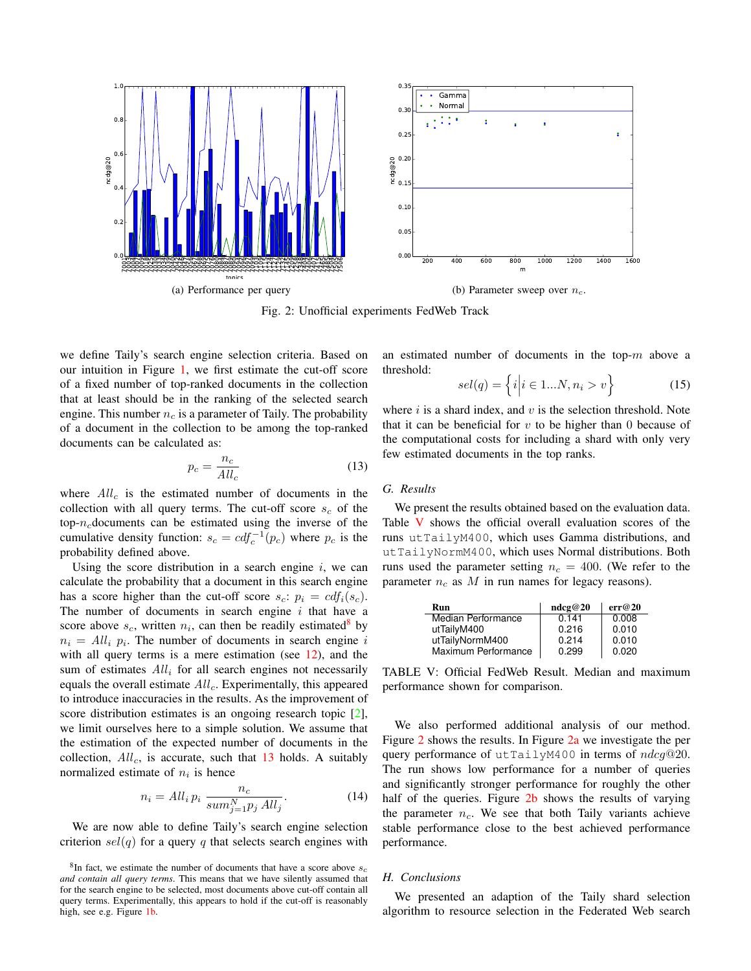<span id="page-4-3"></span>

Fig. 2: Unofficial experiments FedWeb Track

we define Taily's search engine selection criteria. Based on our intuition in Figure [1,](#page-2-2) we first estimate the cut-off score of a fixed number of top-ranked documents in the collection that at least should be in the ranking of the selected search engine. This number  $n_c$  is a parameter of Taily. The probability of a document in the collection to be among the top-ranked documents can be calculated as:

<span id="page-4-1"></span>
$$
p_c = \frac{n_c}{All_c} \tag{13}
$$

where  $All_c$  is the estimated number of documents in the collection with all query terms. The cut-off score  $s_c$  of the top- $n_c$  documents can be estimated using the inverse of the cumulative density function:  $s_c = cdf_c^{-1}(p_c)$  where  $p_c$  is the probability defined above.

Using the score distribution in a search engine  $i$ , we can calculate the probability that a document in this search engine has a score higher than the cut-off score  $s_c$ :  $p_i = cdf_i(s_c)$ . The number of documents in search engine  $i$  that have a score above  $s_c$ , written  $n_i$ , can then be readily estimated<sup>[8](#page-4-0)</sup> by  $n_i = All_i$   $p_i$ . The number of documents in search engine i with all query terms is a mere estimation (see [12\)](#page-3-5), and the sum of estimates  $All_i$  for all search engines not necessarily equals the overall estimate  $All_c$ . Experimentally, this appeared to introduce inaccuracies in the results. As the improvement of score distribution estimates is an ongoing research topic [\[2\]](#page-5-4), we limit ourselves here to a simple solution. We assume that the estimation of the expected number of documents in the collection,  $All_c$ , is accurate, such that  $13$  holds. A suitably normalized estimate of  $n_i$  is hence

$$
n_i = All_i p_i \frac{n_c}{sum_{j=1}^{N} p_j All_j}.
$$
 (14)

We are now able to define Taily's search engine selection criterion  $sel(q)$  for a query q that selects search engines with an estimated number of documents in the top- $m$  above a threshold:

$$
sel(q) = \left\{ i \middle| i \in 1...N, n_i > v \right\} \tag{15}
$$

where  $i$  is a shard index, and  $v$  is the selection threshold. Note that it can be beneficial for  $v$  to be higher than 0 because of the computational costs for including a shard with only very few estimated documents in the top ranks.

## *G. Results*

We present the results obtained based on the evaluation data. Table [V](#page-4-2) shows the official overall evaluation scores of the runs utTailyM400, which uses Gamma distributions, and utTailyNormM400, which uses Normal distributions. Both runs used the parameter setting  $n_c = 400$ . (We refer to the parameter  $n_c$  as M in run names for legacy reasons).

<span id="page-4-2"></span>

| Run                 | ndc2@20 | err@20 |
|---------------------|---------|--------|
| Median Performance  | 0.141   | 0.008  |
| utTailyM400         | 0.216   | 0.010  |
| utTailyNormM400     | 0.214   | 0.010  |
| Maximum Performance | 0.299   | 0.020  |

TABLE V: Official FedWeb Result. Median and maximum performance shown for comparison.

We also performed additional analysis of our method. Figure [2](#page-4-3) shows the results. In Figure [2a](#page-4-3) we investigate the per query performance of utTailyM400 in terms of  $ndcg@20$ . The run shows low performance for a number of queries and significantly stronger performance for roughly the other half of the queries. Figure [2b](#page-4-3) shows the results of varying the parameter  $n_c$ . We see that both Taily variants achieve stable performance close to the best achieved performance performance.

## *H. Conclusions*

We presented an adaption of the Taily shard selection algorithm to resource selection in the Federated Web search

<span id="page-4-0"></span> ${}^{8}$ In fact, we estimate the number of documents that have a score above  $s_c$ *and contain all query terms*. This means that we have silently assumed that for the search engine to be selected, most documents above cut-off contain all query terms. Experimentally, this appears to hold if the cut-off is reasonably high, see e.g. Figure [1b.](#page-2-2)